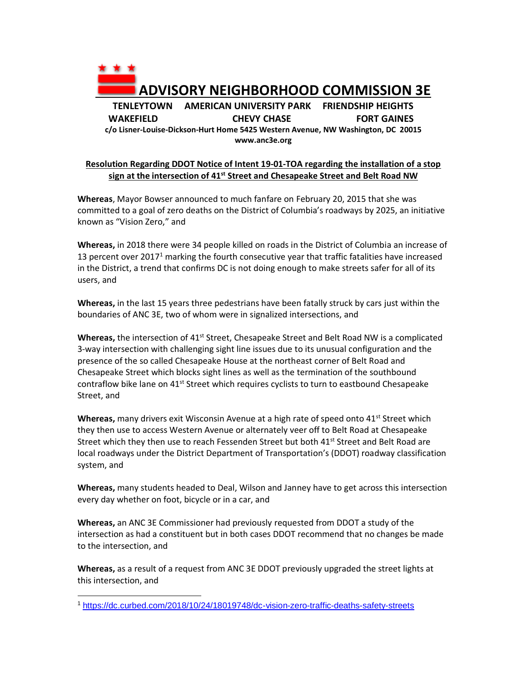

## **Resolution Regarding DDOT Notice of Intent 19-01-TOA regarding the installation of a stop sign at the intersection of 41st Street and Chesapeake Street and Belt Road NW**

**Whereas**, Mayor Bowser announced to much fanfare on February 20, 2015 that she was committed to a goal of zero deaths on the District of Columbia's roadways by 2025, an initiative known as "Vision Zero," and

**Whereas,** in 2018 there were 34 people killed on roads in the District of Columbia an increase of 13 percent over  $2017<sup>1</sup>$  marking the fourth consecutive year that traffic fatalities have increased in the District, a trend that confirms DC is not doing enough to make streets safer for all of its users, and

**Whereas,** in the last 15 years three pedestrians have been fatally struck by cars just within the boundaries of ANC 3E, two of whom were in signalized intersections, and

Whereas, the intersection of 41<sup>st</sup> Street, Chesapeake Street and Belt Road NW is a complicated 3-way intersection with challenging sight line issues due to its unusual configuration and the presence of the so called Chesapeake House at the northeast corner of Belt Road and Chesapeake Street which blocks sight lines as well as the termination of the southbound contraflow bike lane on  $41^{st}$  Street which requires cyclists to turn to eastbound Chesapeake Street, and

Whereas, many drivers exit Wisconsin Avenue at a high rate of speed onto 41<sup>st</sup> Street which they then use to access Western Avenue or alternately veer off to Belt Road at Chesapeake Street which they then use to reach Fessenden Street but both  $41<sup>st</sup>$  Street and Belt Road are local roadways under the District Department of Transportation's (DDOT) roadway classification system, and

**Whereas,** many students headed to Deal, Wilson and Janney have to get across this intersection every day whether on foot, bicycle or in a car, and

**Whereas,** an ANC 3E Commissioner had previously requested from DDOT a study of the intersection as had a constituent but in both cases DDOT recommend that no changes be made to the intersection, and

**Whereas,** as a result of a request from ANC 3E DDOT previously upgraded the street lights at this intersection, and

 $\overline{a}$ <sup>1</sup> <https://dc.curbed.com/2018/10/24/18019748/dc-vision-zero-traffic-deaths-safety-streets>